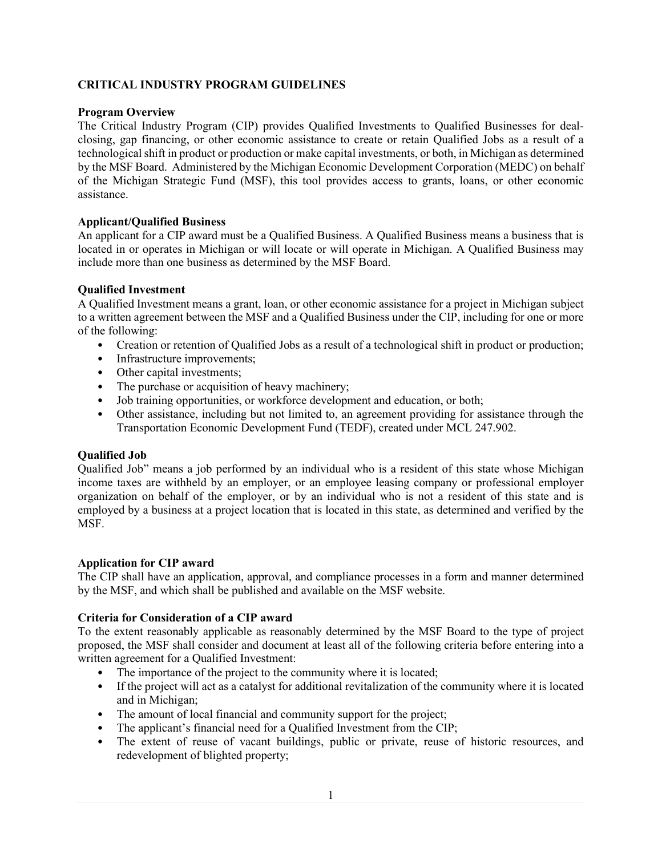# **CRITICAL INDUSTRY PROGRAM GUIDELINES**

## **Program Overview**

The Critical Industry Program (CIP) provides Qualified Investments to Qualified Businesses for dealclosing, gap financing, or other economic assistance to create or retain Qualified Jobs as a result of a technological shift in product or production or make capital investments, or both, in Michigan as determined by the MSF Board. Administered by the Michigan Economic Development Corporation (MEDC) on behalf of the Michigan Strategic Fund (MSF), this tool provides access to grants, loans, or other economic assistance.

## **Applicant/Qualified Business**

An applicant for a CIP award must be a Qualified Business. A Qualified Business means a business that is located in or operates in Michigan or will locate or will operate in Michigan. A Qualified Business may include more than one business as determined by the MSF Board.

## **Qualified Investment**

A Qualified Investment means a grant, loan, or other economic assistance for a project in Michigan subject to a written agreement between the MSF and a Qualified Business under the CIP, including for one or more of the following:

- Creation or retention of Qualified Jobs as a result of a technological shift in product or production;
- Infrastructure improvements;
- Other capital investments;
- The purchase or acquisition of heavy machinery;
- Job training opportunities, or workforce development and education, or both;
- Other assistance, including but not limited to, an agreement providing for assistance through the Transportation Economic Development Fund (TEDF), created under MCL 247.902.

# **Qualified Job**

Qualified Job" means a job performed by an individual who is a resident of this state whose Michigan income taxes are withheld by an employer, or an employee leasing company or professional employer organization on behalf of the employer, or by an individual who is not a resident of this state and is employed by a business at a project location that is located in this state, as determined and verified by the MSF.

### **Application for CIP award**

The CIP shall have an application, approval, and compliance processes in a form and manner determined by the MSF, and which shall be published and available on the MSF website.

### **Criteria for Consideration of a CIP award**

To the extent reasonably applicable as reasonably determined by the MSF Board to the type of project proposed, the MSF shall consider and document at least all of the following criteria before entering into a written agreement for a Qualified Investment:

- The importance of the project to the community where it is located;
- If the project will act as a catalyst for additional revitalization of the community where it is located and in Michigan;
- The amount of local financial and community support for the project;
- The applicant's financial need for a Qualified Investment from the CIP;
- The extent of reuse of vacant buildings, public or private, reuse of historic resources, and redevelopment of blighted property;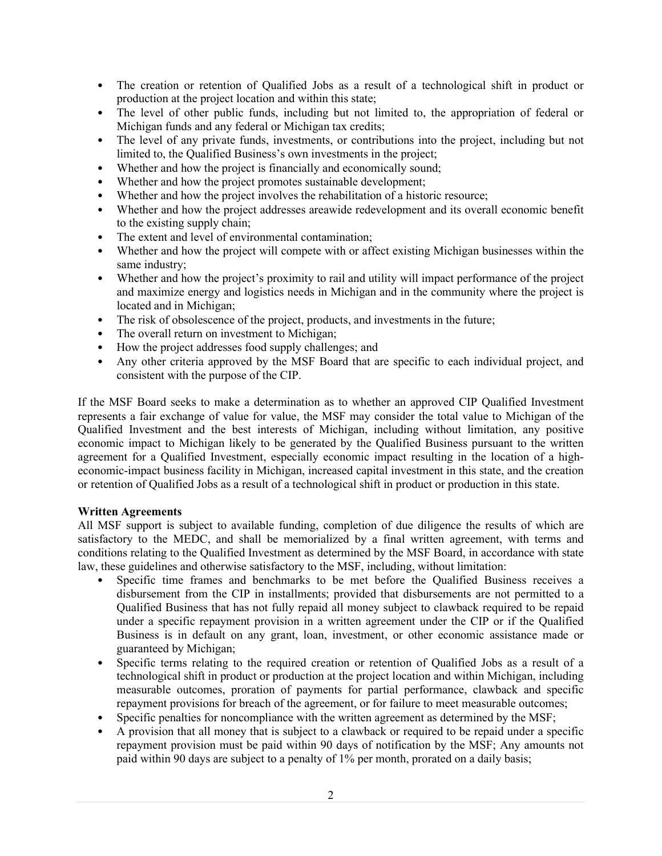- The creation or retention of Qualified Jobs as a result of a technological shift in product or production at the project location and within this state;
- The level of other public funds, including but not limited to, the appropriation of federal or Michigan funds and any federal or Michigan tax credits;
- The level of any private funds, investments, or contributions into the project, including but not limited to, the Qualified Business's own investments in the project;
- Whether and how the project is financially and economically sound;
- Whether and how the project promotes sustainable development;
- Whether and how the project involves the rehabilitation of a historic resource;
- Whether and how the project addresses areawide redevelopment and its overall economic benefit to the existing supply chain;
- The extent and level of environmental contamination;
- Whether and how the project will compete with or affect existing Michigan businesses within the same industry;
- Whether and how the project's proximity to rail and utility will impact performance of the project and maximize energy and logistics needs in Michigan and in the community where the project is located and in Michigan;
- The risk of obsolescence of the project, products, and investments in the future;
- The overall return on investment to Michigan;
- How the project addresses food supply challenges; and
- Any other criteria approved by the MSF Board that are specific to each individual project, and consistent with the purpose of the CIP.

If the MSF Board seeks to make a determination as to whether an approved CIP Qualified Investment represents a fair exchange of value for value, the MSF may consider the total value to Michigan of the Qualified Investment and the best interests of Michigan, including without limitation, any positive economic impact to Michigan likely to be generated by the Qualified Business pursuant to the written agreement for a Qualified Investment, especially economic impact resulting in the location of a higheconomic-impact business facility in Michigan, increased capital investment in this state, and the creation or retention of Qualified Jobs as a result of a technological shift in product or production in this state.

### **Written Agreements**

All MSF support is subject to available funding, completion of due diligence the results of which are satisfactory to the MEDC, and shall be memorialized by a final written agreement, with terms and conditions relating to the Qualified Investment as determined by the MSF Board, in accordance with state law, these guidelines and otherwise satisfactory to the MSF, including, without limitation:

- Specific time frames and benchmarks to be met before the Qualified Business receives a disbursement from the CIP in installments; provided that disbursements are not permitted to a Qualified Business that has not fully repaid all money subject to clawback required to be repaid under a specific repayment provision in a written agreement under the CIP or if the Qualified Business is in default on any grant, loan, investment, or other economic assistance made or guaranteed by Michigan;
- Specific terms relating to the required creation or retention of Qualified Jobs as a result of a technological shift in product or production at the project location and within Michigan, including measurable outcomes, proration of payments for partial performance, clawback and specific repayment provisions for breach of the agreement, or for failure to meet measurable outcomes;
- Specific penalties for noncompliance with the written agreement as determined by the MSF;
- A provision that all money that is subject to a clawback or required to be repaid under a specific repayment provision must be paid within 90 days of notification by the MSF; Any amounts not paid within 90 days are subject to a penalty of 1% per month, prorated on a daily basis;